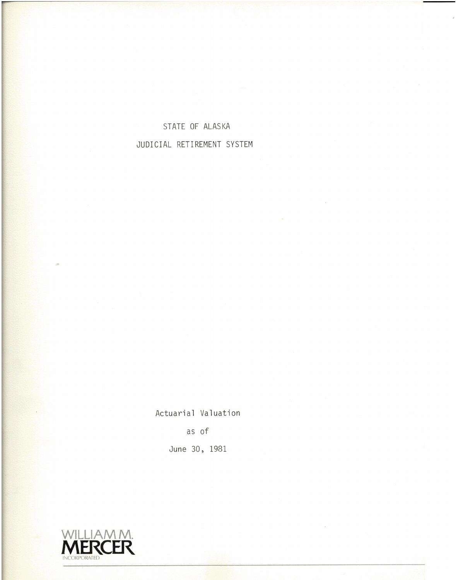### STATE OF ALASKA JUDICIAL RETIREMENT SYSTEM

Actuarial Valuation as of June 30, 1981

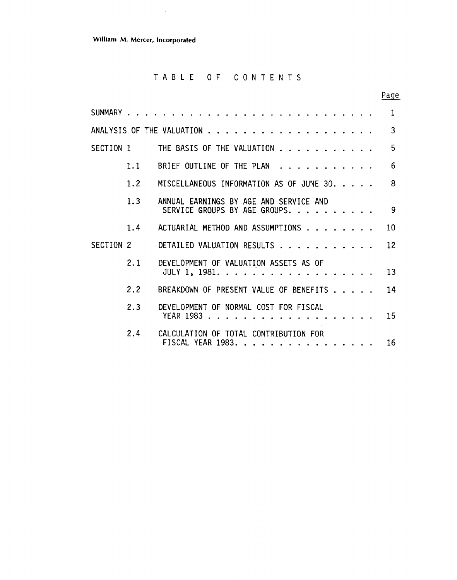**William M. Mercer, Incorporated** 

 $\sim 10^7$ 

#### TABLE OF CONTENTS

Page

|           |     |                                                                         | $\mathbf{1}$ |
|-----------|-----|-------------------------------------------------------------------------|--------------|
|           |     |                                                                         | 3            |
| SECTION 1 |     | THE BASIS OF THE VALUATION                                              | 5            |
|           | 1.1 | BRIEF OUTLINE OF THE PLAN                                               | 6            |
|           | 1.2 | MISCELLANEOUS INFORMATION AS OF JUNE 30.                                | 8            |
|           | 1.3 | ANNUAL EARNINGS BY AGE AND SERVICE AND<br>SERVICE GROUPS BY AGE GROUPS. | -9           |
|           | 1.4 | ACTUARIAL METHOD AND ASSUMPTIONS                                        | 10           |
| SECTION 2 |     | 12<br>DETAILED VALUATION RESULTS                                        |              |
|           | 2.1 | DEVELOPMENT OF VALUATION ASSETS AS OF<br>JULY 1, 1981.                  | 13           |
|           | 2.2 | BREAKDOWN OF PRESENT VALUE OF BENEFITS 14                               |              |
|           | 2.3 | DEVELOPMENT OF NORMAL COST FOR FISCAL                                   |              |
|           | 2.4 | CALCULATION OF TOTAL CONTRIBUTION FOR<br>FISCAL YEAR 1983.              | 16           |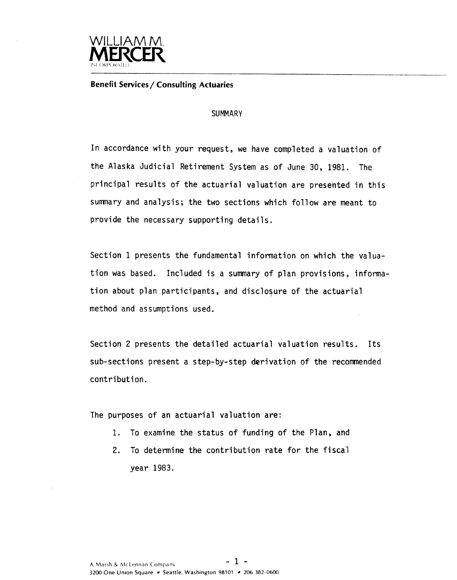

**Benefit Services** / **Consulting Actuaries** 

#### **SUMMARY**

In accordance with your request, we have completed a valuation of the Alaska Judicial Retirement System as of June 30, 1981. The principal results of the actuarial valuation are presented in this sumnary and analysis; the two sections which follow are meant to provide the necessary supporting details.

Section 1 presents the fundamental information on which the valuation was based. Included is a summary of plan provisions, information about plan participants, and disclosure of the actuarial method and assumptions used.

Section 2 presents the detailed actuarial valuation results. Its sub-sections present a step-by-step derivation of the recommended contribution.

The purposes of an actuarial valuation are:

- **1.** To examine the status of funding of the Plan, and
- 2. To determine the contribution rate for the fiscal year 1983.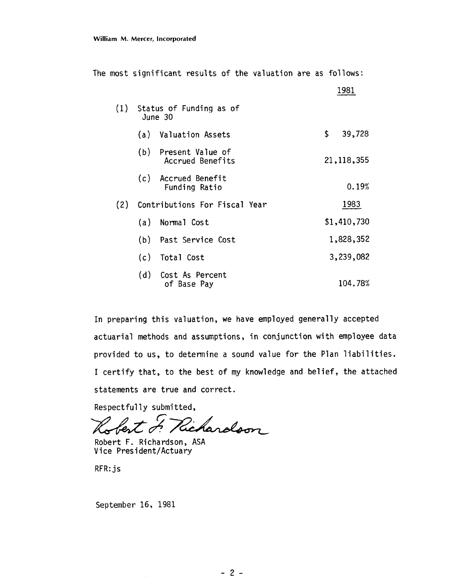The most significant results of the valuation are as follows:

|     |     |                                          | 1981         |
|-----|-----|------------------------------------------|--------------|
| (1) |     | Status of Funding as of<br>June 30       |              |
|     |     | (a) Valuation Assets                     | \$<br>39,728 |
|     |     | (b) Present Value of<br>Accrued Benefits | 21, 118, 355 |
|     |     | (c) Accrued Benefit<br>Funding Ratio     | 0.19%        |
| (2) |     | Contributions For Fiscal Year            | 1983         |
|     | (a) | Normal Cost                              | \$1,410,730  |
|     |     | (b) Past Service Cost                    | 1,828,352    |
|     |     | (c) Total Cost                           | 3,239,082    |
|     |     | (d) Cost As Percent<br>of Base Pay       | 104.78%      |

In preparing this valuation, we have employed generally accepted actuarial methods and assumptions, in conjunction with employee data provided to us, to determine a sound value for the Plan liabilities. I certify that, to the best of my knowledge and belief, the attached statements are true and correct.

Respectfully submitted,

Richardson fert d

Robert F. Richardson, ASA Vice Pres ident/Actuary

RFR: js

September 16, 1981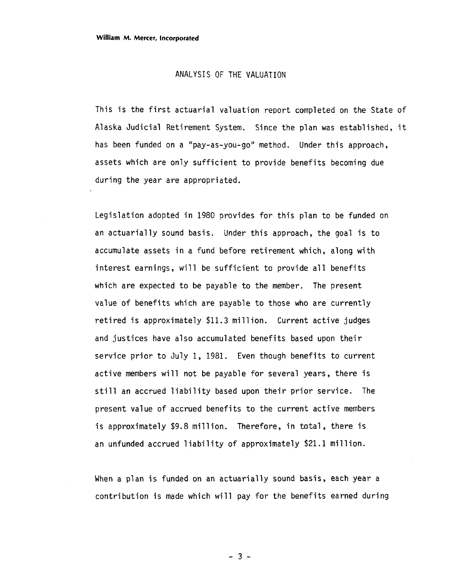#### ANALYSIS OF THE VALUATION

This is the first actuarial valuation report completed on the State of Alaska Judicial Retirement System. Since the plan was established, it has been funded on a "pay-as-you-go" method. Under this approach, assets which are only sufficient to provide benefits becoming due during the year are appropriated.

Legislation adopted in 1980 provides for this plan to be funded on an actuarially sound basis. Under this approach, the goal is to accumulate assets in a fund before retirement which, along with interest earnings, will be sufficient to provide all benefits which are expected to be payable to the member. The present value of benefits which are payable to those who are currently retired is approximately \$11.3 million. Current active judges and justices have also accumulated benefits based upon their service prior to July 1, 1981. Even though benefits to current active members will not be payable for several years, there is still an accrued liability based upon their prior service. The present value of accrued benefits to the current active members is approximately \$9.8 million. Therefore, in total, there is an unfunded accrued liability of approximately \$21.1 million.

When a plan is funded on an actuarially sound basis, each year a contribution is made which will pay for the benefits earned during

 $-3-$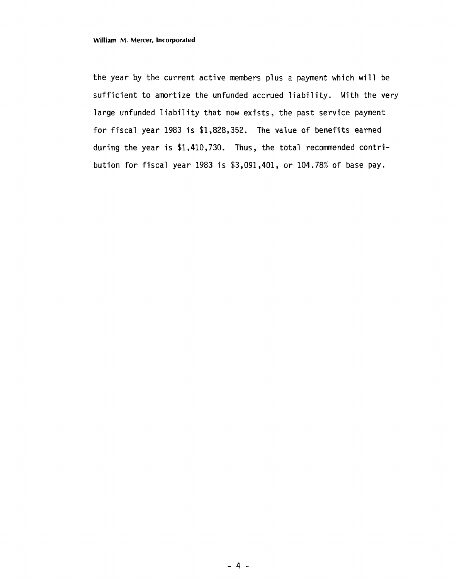the year by the current active members plus a payment which will be sufficient to amortize the unfunded accrued liability. With the very large unfunded liability that now exists, the past service payment for fiscal year **1983** is **\$1,828,352.** The value of benefits earned during the year is **\$1,4lO,73O.** Thus, the total recommended contribution for fiscal year **1983** is **\$3,091,401,** or **104.78%** of base pay.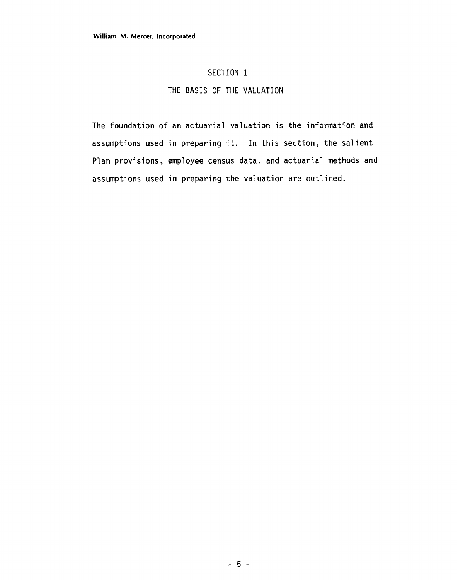#### SECTION 1

#### THE BASIS OF THE VALUATION

The foundation of an actuarial valuation is the information and assumptions used in preparing it. In this section, the salient Plan provisions, employee census data, and actuarial methods and assumptions used in preparing the valuation are outlined.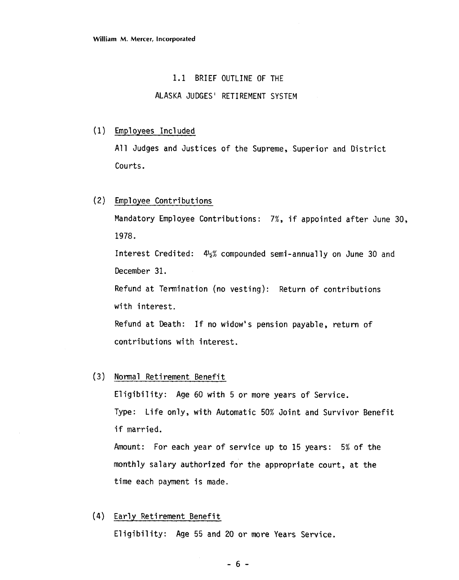#### 1.1 BRIEF OUTLINE **OF** THE

#### ALASKA JUDGES ' RETIREMENT SYSTEM

#### Employees Incl uded

All Judges and Justices of the Supreme, Superior and District Courts.

#### Employee Contributions

Mandatory Employee Contributions: 7%, if appointed after June 30, 1978.

Interest Credited:  $4\frac{1}{2}\%$  compounded semi-annually on June 30 and December 31.

Refund at Termination (no vesting): Return of contributions with interest.

Refund at Death: If no widow's pension payable, return of contributions with interest.

#### (3) Normal Retirement Benefit

Eligibility: Age 60 with 5 or more years of Service. Type: Life only, with Automatic 50% Joint and Survivor Benefit if married.

Amount: For each year of service up to 15 years: 5% of the monthly salary authorized for the appropriate court, at the time each payment is made.

#### (4) Early Retirement Benefit

Eligibility: Age 55 and 20 or more Years Service.

 $-6-$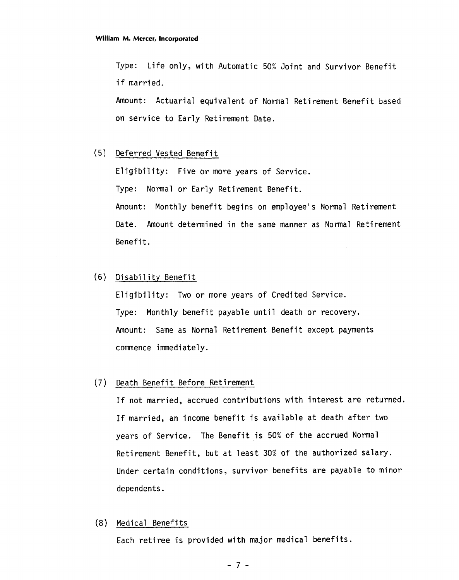Type: Life only, with Automatic 50% Joint and Survivor Benefit if married.

Amount: Actuarial equivalent of Normal Retirement Benefit based on service to Early Retirement Date.

#### (5) Deferred Vested Benefit

Eligibility: Five or more years of Service. Type: Normal or Early Retirement Benefit. Amount: Monthly benefit begins on employee's Normal Retirement Date. Amount determined in the same manner as Normal Retirement

(6) **Di** sabi 1 i ty Benefit

Benefit .

Eligibility: Two or more years of Credited Service. Type: Monthly benefit payable until death or recovery. Amount: Same as Normal Retirement Benefit except payments comnence immediately .

#### (7) Death Benefit Before Retirement

If not married, accrued contributions with interest are returned. If married, an income benefit is available at death after two years of Service. The Benefit is 50% of the accrued Normal Retirement Benefit, but at least 30% of the authorized salary. Under certain conditions, survivor benefits are payable to minor dependents.

#### (8) Medical Benefits

Each retiree is provided with major medical benefits .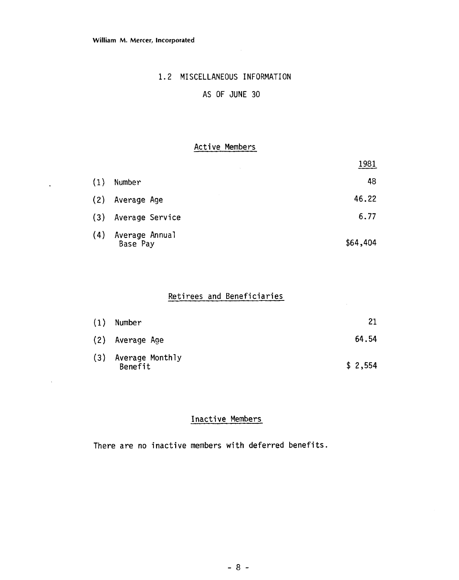$\ddot{\phantom{a}}$ 

 $\sim$ 

#### 1.2 MISCELLANEOUS INFORMATION

#### AS OF JUNE 30

#### Active Members

|     |                            | 1981     |
|-----|----------------------------|----------|
| (1) | Number                     | 48       |
| (2) | Average Age                | 46.22    |
| (3) | Average Service            | 6.77     |
| (4) | Average Annual<br>Base Pay | \$64,404 |

#### Retirees and Beneficiaries

| (1) | Number                         | 21      |
|-----|--------------------------------|---------|
|     | (2) Average Age                | 64.54   |
|     | (3) Average Monthly<br>Benefit | \$2,554 |

#### Inactive Members

There are no inactive members with deferred benefits.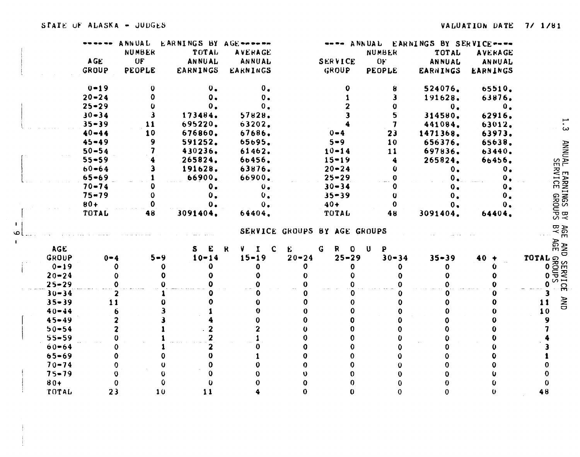|              |            |            | ANNUAL    | EARNINGS BY AGE ----- |                                           |                              |                              |                | ---- ANNUAL EARNINGS BY SERVICE---- |                 |                                   |
|--------------|------------|------------|-----------|-----------------------|-------------------------------------------|------------------------------|------------------------------|----------------|-------------------------------------|-----------------|-----------------------------------|
|              |            |            | NUMBER    | TOTAL                 | AVERAGE                                   |                              |                              | <b>NUMBER</b>  | TOTAL                               | <b>AVERAGE</b>  |                                   |
|              |            | <b>AGE</b> | <b>UF</b> | ANNUAL                | ANNUAL                                    |                              | SERVICE                      | 0 <sub>F</sub> | ANNUAL                              | ANNUAL          |                                   |
|              |            | GROUP      | PEOPLE    | <b>EARNINGS</b>       | EARNINGS                                  |                              | GROUP                        | <b>PEOPLE</b>  | <b>EARNINGS</b>                     | <b>EARNINGS</b> |                                   |
|              |            | $0 - 19$   | $\bf{0}$  | 0 <sub>o</sub>        | $\mathbf{0}$ .                            |                              | 0                            | 8              | 524076.                             | 65510.          |                                   |
|              |            | $20 - 24$  |           | 0.                    | $\mathbf{0}$ .                            |                              |                              |                | 191628.                             | 63876.          |                                   |
|              |            | $25 - 29$  |           | 0.                    | 0.                                        |                              |                              |                | 0.                                  | 0 <sub>o</sub>  |                                   |
|              |            | $30 - 34$  |           | 173484.               | 57828.                                    |                              |                              | 5              | 314580.                             | 62916.          |                                   |
|              |            | $35 - 39$  | 11        | 695220.               | 63202.                                    |                              |                              | 7              | 441084.                             | 63012.          |                                   |
|              |            | $40 - 44$  | 10        | 676860.               | 67686.                                    |                              | $0 - 4$                      | 23             | 1471368.                            | 63973.          | $\omega$                          |
|              |            | $45 - 49$  | 9         | 591252.               | 65695.                                    |                              | $5 - 9$                      | 10             | 656376.                             | 65638.          |                                   |
|              |            | $50 - 54$  |           | 430236.               | 61462.                                    |                              | $10 - 14$                    | 11             | 697836.                             | 63440.          |                                   |
|              |            | $55 - 59$  |           | 265824.               | 66456.                                    |                              | $15 - 19$                    |                | 265824.                             | 66456.          | <b>TRINNA</b><br>TRINNA           |
|              |            | $60 - 64$  |           | 191628.               | 63876.                                    |                              | $20 - 24$                    | 0              | 0.                                  | 0 <sub>o</sub>  |                                   |
|              |            | $65 - 69$  |           | 66900.                | 66900.                                    |                              | $25 - 29$                    |                | 0 <sub>o</sub>                      | $\mathbf{o}$ .  |                                   |
|              |            | $70 - 74$  |           | $\mathbf{0}$ .        | 0.6                                       |                              | $30 - 34$                    |                | 0.                                  | ο.              |                                   |
|              |            | $75 - 79$  | $\bf{0}$  | υ.                    | $\mathbf{0}$ .                            |                              | $35 - 39$                    | υ              | 0.                                  | $\mathbf{0}$ .  |                                   |
|              |            | $80+$      | 0         | ο.                    | 0.                                        |                              | $40+$                        | 0              | 0.                                  | $\mathbf{0}$ .  |                                   |
|              |            | TOTAL      | 48        | 3091404.              | 64404.                                    |                              | TOTAL                        | 48             | 3091404.                            | 64404.          | <b>EARNINGS BY</b><br>EARNINGS BY |
| $\mathbf{1}$ |            |            |           |                       |                                           |                              |                              |                |                                     |                 |                                   |
| $\circ$      |            |            |           |                       |                                           | SERVICE GROUPS BY AGE GROUPS |                              |                |                                     |                 | 82<br>BY<br>$\blacksquare$        |
|              | <b>AGE</b> |            |           | £<br>S.               | V.<br><b>C</b><br>$\mathbf R$<br>$\bf{I}$ | E.<br>G                      | $\mathbb{R}$<br>$\mathbf{O}$ | $\bf{U}$<br>P  |                                     |                 | AND<br>AGE 1<br>TOTAL SECTION     |
|              | GROUP      | $0 - 4$    |           | $5 - 9$<br>$10 - 14$  | $15 - 19$                                 | $20 - 24$                    | $25 - 29$                    | $30 - 34$      | $35 - 39$                           | 40              |                                   |
|              | $0 - 19$   |            | 0         | 0                     | 0                                         | 0                            | Ð                            | 0              | $\mathbf 0$                         |                 |                                   |
|              | $20 - 24$  |            |           | 0                     |                                           | 0                            | $\bf{0}$                     | 0              | 0                                   |                 |                                   |
|              | $25 - 29$  |            |           |                       |                                           |                              |                              |                |                                     |                 |                                   |
|              | $30 - 34$  |            |           |                       |                                           |                              |                              |                |                                     |                 |                                   |
|              | $35 - 39$  | 11         |           |                       |                                           |                              | Ω                            |                |                                     |                 | <b>AND</b><br>11                  |
|              | $40 - 44$  |            |           |                       |                                           |                              |                              |                |                                     |                 | 10                                |
|              | $45 - 49$  |            |           |                       |                                           |                              |                              |                |                                     |                 | 9                                 |
|              | $50 - 54$  |            |           |                       |                                           |                              |                              |                |                                     |                 |                                   |
|              | $55 - 59$  |            |           |                       |                                           |                              |                              |                |                                     |                 |                                   |
|              | $60 - 64$  |            |           |                       |                                           |                              | $\Omega$                     |                |                                     |                 |                                   |
|              | $65 - 69$  |            |           |                       |                                           |                              |                              |                |                                     |                 |                                   |
|              | $70 - 74$  |            | n         | 0                     |                                           |                              | Λ                            |                |                                     |                 |                                   |
|              | $75 - 79$  |            |           | $\bf{0}$              |                                           |                              |                              |                |                                     |                 |                                   |
|              | $80+$      |            | 0         | 0                     |                                           |                              |                              |                |                                     |                 |                                   |
|              | TOTAL      | 23         |           | 10<br>11              |                                           |                              | 0                            |                |                                     |                 | 48                                |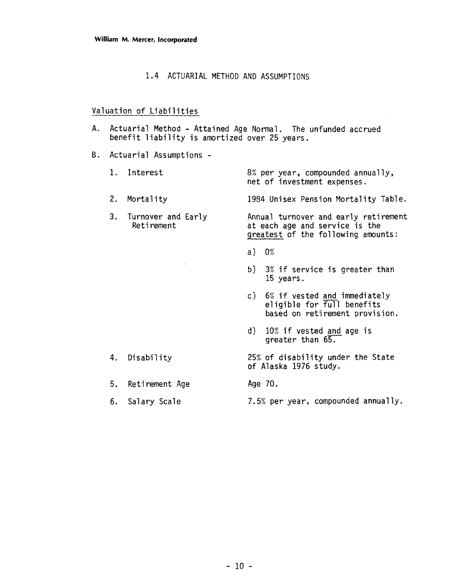#### 1.4 ACTUARIAL METHOD AND ASSUMPTIONS

#### Valuation of Liabilities

- A. Actuarial Method Attained Age Normal. The unfunded accrued benefit liability is amortized over 25 years.
- B. Actuarial Assumptions
	- 1. Interest 8% per year, compounded annually,
	-

4. Disability

5. Retirement Age

net of investment expenses.

2. Mortality 1984 Unisex Pension Mortality Table.

**3.** Turnover and Early Annual turnover and early retirement at each age and service is the greatest of the following amounts:

- a)  $0%$
- b) **3%** if service is greater than 15 years.
- c) 6% if vested and immediately el igible for full benefits based on retirement provision.
- d) 10% if vested and age is greater than 65.
- 25% of disability under the State of Alaska 1976 study.
	- Age 70.
- 6. Salary Scale 7.5% per year, compounded annually.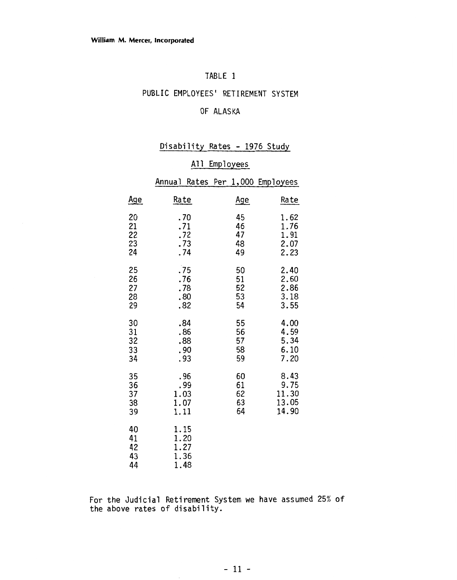#### TABLE 1

### PUBLIC EMPLOYEES' RETIREMENT SYSTEM

#### OF ALASKA

Disability Rates - 1976 Study

#### Annual Rates Per 1,000 Employees

|                            | <b>DISADITILY</b><br>na ces<br>19/U<br><u>stuuy</u> |                            |                                         |  |  |  |
|----------------------------|-----------------------------------------------------|----------------------------|-----------------------------------------|--|--|--|
|                            | A11<br><b>Employees</b>                             |                            |                                         |  |  |  |
|                            | Annual Rates Per 1,000                              |                            | Employees                               |  |  |  |
| <u>Age</u>                 | Rate                                                | <u>Age</u>                 | Rate                                    |  |  |  |
| 20<br>21<br>22<br>23<br>24 | .70<br>.71<br>.72<br>.73<br>.74                     | 45<br>46<br>47<br>48<br>49 | 1.62<br>1.76<br>1.91<br>2.07<br>2.23    |  |  |  |
| 25<br>26<br>27<br>28<br>29 | .75<br>.76<br>.78<br>.80<br>.82                     | 50<br>51<br>52<br>53<br>54 | 2.40<br>2.60<br>2.86<br>3.18<br>3.55    |  |  |  |
| 30<br>31<br>32<br>33<br>34 | .84<br>.86<br>.88<br>.90<br>.93                     | 55<br>56<br>57<br>58<br>59 | 4.00<br>4.59<br>5.34<br>6.10<br>7.20    |  |  |  |
| 35<br>36<br>37<br>38<br>39 | .96<br>.99<br>1.03<br>1.07<br>1.11                  | 60<br>61<br>62<br>63<br>64 | 8.43<br>9.75<br>11.30<br>13.05<br>14.90 |  |  |  |
| 40<br>41<br>42<br>43<br>44 | 1.15<br>1.20<br>1.27<br>1.36<br>1.48                |                            |                                         |  |  |  |

For the Judicial Retirement System we have assumed 25% of the above rates of disability.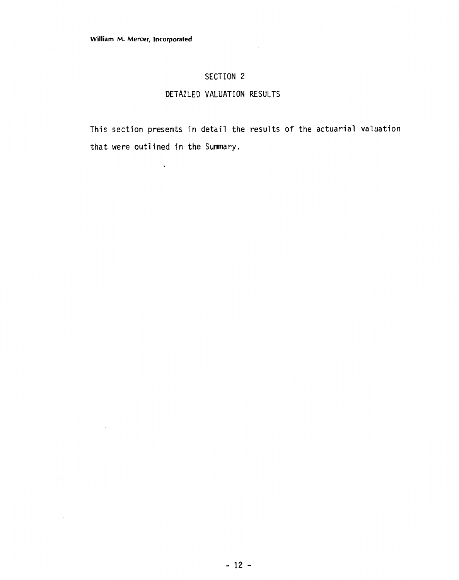$\ddot{\phantom{a}}$ 

 $\bar{z}$ 

#### **SECTION 2**

#### **DETAILED VALUATION RESULTS**

This section presents in detail the results of the actuarial valuation that were outlined in the Summary.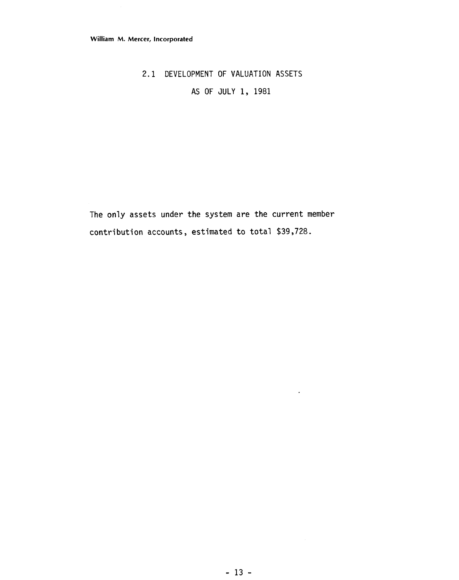### 2.1 DEVELOPMENT OF VALUATION ASSETS

AS OF JULY 1, 1981

The only assets under the system are the current member contribution accounts, estimated to total \$39,728.

 $\langle \cdot \rangle$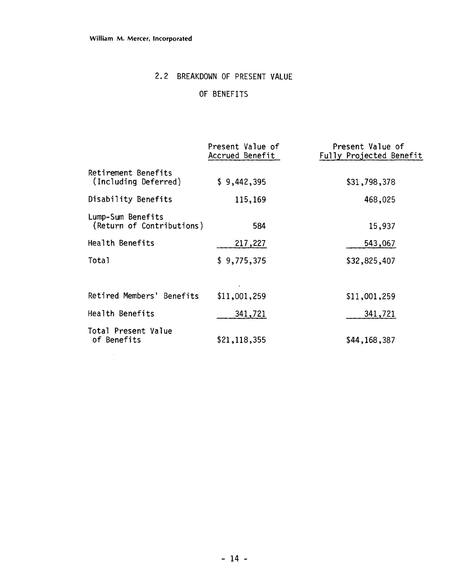$\mathcal{L}^{\text{max}}_{\text{max}}$ 

## 2.2 BREAKDOWN OF PRESENT VALUE

OF BENEFITS

|                                                | Present Value of<br>Accrued Benefit | Present Value of<br>Fully Projected Benefit |
|------------------------------------------------|-------------------------------------|---------------------------------------------|
| Retirement Benefits<br>(Including Deferred)    | \$9,442,395                         | \$31,798,378                                |
| Disability Benefits                            | 115,169                             | 468,025                                     |
| Lump-Sum Benefits<br>(Return of Contributions) | 584                                 | 15,937                                      |
| Health Benefits                                | 217,227                             | 543,067                                     |
| Total                                          | \$9,775,375                         | \$32,825,407                                |
|                                                |                                     |                                             |
| Retired Members' Benefits                      | \$11,001,259                        | \$11,001,259                                |
| Health Benefits                                | 341,721                             | 341,721                                     |
| Total Present Value<br>of Benefits             | \$21,118,355                        | \$44,168,387                                |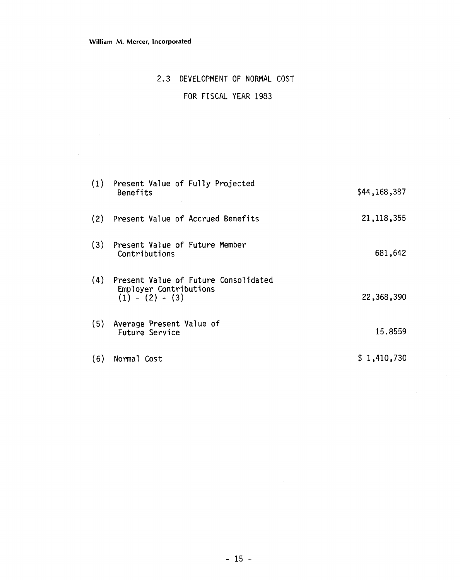#### **William M. Mercer, incorporated**

#### 2.3 DEVELOPMENT OF NORMAL COST

#### FOR FISCAL YEAR 1983

| (1) | Present Value of Fully Projected<br>Benefits                                        | \$44,168,387 |
|-----|-------------------------------------------------------------------------------------|--------------|
| (2) | Present Value of Accrued Benefits                                                   | 21, 118, 355 |
| (3) | Present Value of Future Member<br>Contributions                                     | 681,642      |
| (4) | Present Value of Future Consolidated<br>Employer Contributions<br>$(1) - (2) - (3)$ | 22,368,390   |
| (5) | Average Present Value of<br>Future Service                                          | 15.8559      |
| (6) | Normal Cost                                                                         | \$1,410,730  |

 $\sim$